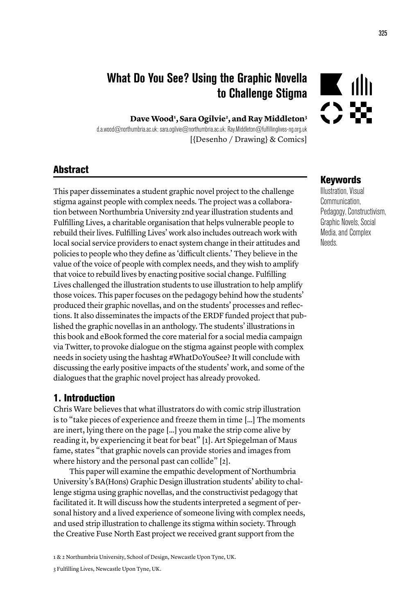# What Do You See? Using the Graphic Novella to Challenge Stigma

**Dave Wood1 , Sara Ogilvie2 , and Ray Middleton3**

d.a.wood@northumbria.ac.uk; sara.ogilvie@northumbria.ac.uk; Ray.Middleton@fulfillinglives-ng.org.uk [{Desenho / Drawing} & Comics]

### **Abstract**

This paper disseminates a student graphic novel project to the challenge stigma against people with complex needs. The project was a collaboration between Northumbria University 2nd year illustration students and Fulfilling Lives, a charitable organisation that helps vulnerable people to rebuild their lives. Fulfilling Lives' work also includes outreach work with local social service providers to enact system change in their attitudes and policies to people who they define as 'difficult clients.' They believe in the value of the voice of people with complex needs, and they wish to amplify that voice to rebuild lives by enacting positive social change. Fulfilling Lives challenged the illustration students to use illustration to help amplify those voices. This paper focuses on the pedagogy behind how the students' produced their graphic novellas, and on the students' processes and reflections. It also disseminates the impacts of the ERDF funded project that published the graphic novellas in an anthology. The students' illustrations in this book and eBook formed the core material for a social media campaign via Twitter, to provoke dialogue on the stigma against people with complex needs in society using the hashtag #WhatDoYouSee? It will conclude with discussing the early positive impacts of the students' work, and some of the dialogues that the graphic novel project has already provoked.

#### 1. Introduction

Chris Ware believes that what illustrators do with comic strip illustration is to "take pieces of experience and freeze them in time […] The moments are inert, lying there on the page […] you make the strip come alive by reading it, by experiencing it beat for beat" [1]. Art Spiegelman of Maus fame, states "that graphic novels can provide stories and images from where history and the personal past can collide" [2].

This paper will examine the empathic development of Northumbria University's BA(Hons) Graphic Design illustration students' ability to challenge stigma using graphic novellas, and the constructivist pedagogy that facilitated it. It will discuss how the students interpreted a segment of personal history and a lived experience of someone living with complex needs, and used strip illustration to challenge its stigma within society. Through the Creative Fuse North East project we received grant support from the

1 & 2 Northumbria University, School of Design, Newcastle Upon Tyne, UK.

3 Fulfilling Lives, Newcastle Upon Tyne, UK.

#### Keywords

 $\blacksquare$  dh

Illustration, Visual **Communication** Pedagogy, Constructivism, Graphic Novels, Social Media, and Complex Needs.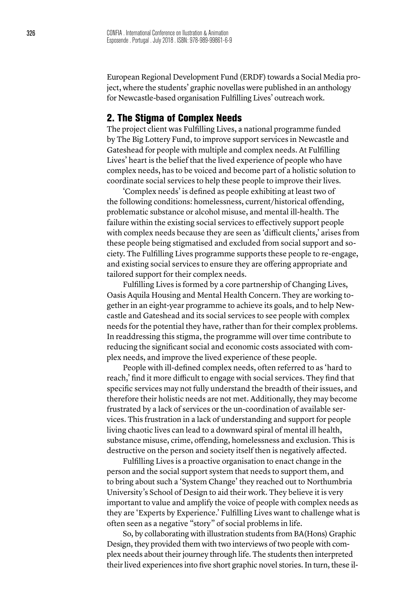European Regional Development Fund (ERDF) towards a Social Media project, where the students' graphic novellas were published in an anthology for Newcastle-based organisation Fulfilling Lives' outreach work.

#### 2. The Stigma of Complex Needs

The project client was Fulfilling Lives, a national programme funded by The Big Lottery Fund, to improve support services in Newcastle and Gateshead for people with multiple and complex needs. At Fulfilling Lives' heart is the belief that the lived experience of people who have complex needs, has to be voiced and become part of a holistic solution to coordinate social services to help these people to improve their lives.

'Complex needs' is defined as people exhibiting at least two of the following conditions: homelessness, current/historical offending, problematic substance or alcohol misuse, and mental ill-health. The failure within the existing social services to effectively support people with complex needs because they are seen as 'difficult clients,' arises from these people being stigmatised and excluded from social support and society. The Fulfilling Lives programme supports these people to re-engage, and existing social services to ensure they are offering appropriate and tailored support for their complex needs.

Fulfilling Lives is formed by a core partnership of Changing Lives, Oasis Aquila Housing and Mental Health Concern. They are working together in an eight-year programme to achieve its goals, and to help Newcastle and Gateshead and its social services to see people with complex needs for the potential they have, rather than for their complex problems. In readdressing this stigma, the programme will over time contribute to reducing the significant social and economic costs associated with complex needs, and improve the lived experience of these people.

People with ill-defined complex needs, often referred to as 'hard to reach,' find it more difficult to engage with social services. They find that specific services may not fully understand the breadth of their issues, and therefore their holistic needs are not met. Additionally, they may become frustrated by a lack of services or the un-coordination of available services. This frustration in a lack of understanding and support for people living chaotic lives can lead to a downward spiral of mental ill health, substance misuse, crime, offending, homelessness and exclusion. This is destructive on the person and society itself then is negatively affected.

Fulfilling Lives is a proactive organisation to enact change in the person and the social support system that needs to support them, and to bring about such a 'System Change' they reached out to Northumbria University's School of Design to aid their work. They believe it is very important to value and amplify the voice of people with complex needs as they are 'Experts by Experience.' Fulfilling Lives want to challenge what is often seen as a negative "story" of social problems in life.

So, by collaborating with illustration students from BA(Hons) Graphic Design, they provided them with two interviews of two people with complex needs about their journey through life. The students then interpreted their lived experiences into five short graphic novel stories. In turn, these il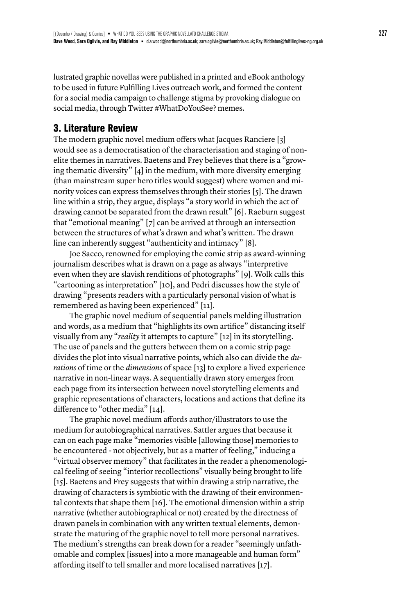lustrated graphic novellas were published in a printed and eBook anthology to be used in future Fulfilling Lives outreach work, and formed the content for a social media campaign to challenge stigma by provoking dialogue on social media, through Twitter #WhatDoYouSee? memes.

## 3. Literature Review

The modern graphic novel medium offers what Jacques Ranciere [3] would see as a democratisation of the characterisation and staging of nonelite themes in narratives. Baetens and Frey believes that there is a "growing thematic diversity" [4] in the medium, with more diversity emerging (than mainstream super hero titles would suggest) where women and minority voices can express themselves through their stories [5]. The drawn line within a strip, they argue, displays "a story world in which the act of drawing cannot be separated from the drawn result" [6]. Raeburn suggest that "emotional meaning" [7] can be arrived at through an intersection between the structures of what's drawn and what's written. The drawn line can inherently suggest "authenticity and intimacy" [8].

Joe Sacco, renowned for employing the comic strip as award-winning journalism describes what is drawn on a page as always "interpretive even when they are slavish renditions of photographs" [9]. Wolk calls this "cartooning as interpretation" [10], and Pedri discusses how the style of drawing "presents readers with a particularly personal vision of what is remembered as having been experienced" [11].

The graphic novel medium of sequential panels melding illustration and words, as a medium that "highlights its own artifice" distancing itself visually from any "*reality* it attempts to capture" [12] in its storytelling. The use of panels and the gutters between them on a comic strip page divides the plot into visual narrative points, which also can divide the *durations* of time or the *dimensions* of space [13] to explore a lived experience narrative in non-linear ways. A sequentially drawn story emerges from each page from its intersection between novel storytelling elements and graphic representations of characters, locations and actions that define its difference to "other media" [14].

The graphic novel medium affords author/illustrators to use the medium for autobiographical narratives. Sattler argues that because it can on each page make "memories visible [allowing those] memories to be encountered - not objectively, but as a matter of feeling," inducing a "virtual observer memory" that facilitates in the reader a phenomenological feeling of seeing "interior recollections" visually being brought to life [15]. Baetens and Frey suggests that within drawing a strip narrative, the drawing of characters is symbiotic with the drawing of their environmental contexts that shape them [16]. The emotional dimension within a strip narrative (whether autobiographical or not) created by the directness of drawn panels in combination with any written textual elements, demonstrate the maturing of the graphic novel to tell more personal narratives. The medium's strengths can break down for a reader "seemingly unfathomable and complex [issues] into a more manageable and human form" affording itself to tell smaller and more localised narratives [17].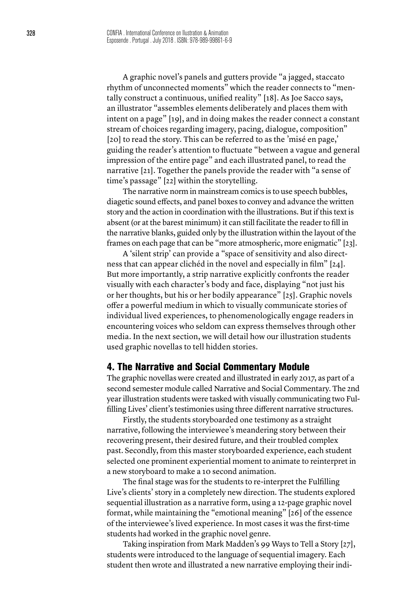A graphic novel's panels and gutters provide "a jagged, staccato rhythm of unconnected moments" which the reader connects to "mentally construct a continuous, unified reality" [18]. As Joe Sacco says, an illustrator "assembles elements deliberately and places them with intent on a page" [19], and in doing makes the reader connect a constant stream of choices regarding imagery, pacing, dialogue, composition" [20] to read the story. This can be referred to as the 'misé en page,' guiding the reader's attention to fluctuate "between a vague and general impression of the entire page" and each illustrated panel, to read the narrative [21]. Together the panels provide the reader with "a sense of time's passage" [22] within the storytelling.

The narrative norm in mainstream comics is to use speech bubbles, diagetic sound effects, and panel boxes to convey and advance the written story and the action in coordination with the illustrations. But if this text is absent (or at the barest minimum) it can still facilitate the reader to fill in the narrative blanks, guided only by the illustration within the layout of the frames on each page that can be "more atmospheric, more enigmatic" [23].

A 'silent strip' can provide a "space of sensitivity and also directness that can appear clichéd in the novel and especially in film" [24]. But more importantly, a strip narrative explicitly confronts the reader visually with each character's body and face, displaying "not just his or her thoughts, but his or her bodily appearance" [25]. Graphic novels offer a powerful medium in which to visually communicate stories of individual lived experiences, to phenomenologically engage readers in encountering voices who seldom can express themselves through other media. In the next section, we will detail how our illustration students used graphic novellas to tell hidden stories.

#### 4. The Narrative and Social Commentary Module

The graphic novellas were created and illustrated in early 2017, as part of a second semester module called Narrative and Social Commentary. The 2nd year illustration students were tasked with visually communicating two Fulfilling Lives' client's testimonies using three different narrative structures.

Firstly, the students storyboarded one testimony as a straight narrative, following the interviewee's meandering story between their recovering present, their desired future, and their troubled complex past. Secondly, from this master storyboarded experience, each student selected one prominent experiential moment to animate to reinterpret in a new storyboard to make a 10 second animation.

The final stage was for the students to re-interpret the Fulfilling Live's clients' story in a completely new direction. The students explored sequential illustration as a narrative form, using a 12-page graphic novel format, while maintaining the "emotional meaning" [26] of the essence of the interviewee's lived experience. In most cases it was the first-time students had worked in the graphic novel genre.

Taking inspiration from Mark Madden's 99 Ways to Tell a Story [27], students were introduced to the language of sequential imagery. Each student then wrote and illustrated a new narrative employing their indi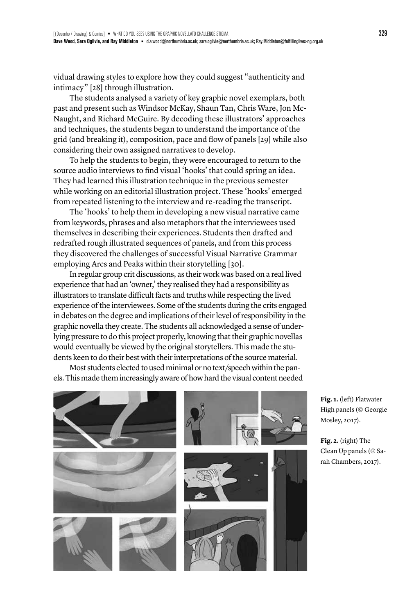vidual drawing styles to explore how they could suggest "authenticity and intimacy" [28] through illustration.

The students analysed a variety of key graphic novel exemplars, both past and present such as Windsor McKay, Shaun Tan, Chris Ware, Jon Mc-Naught, and Richard McGuire. By decoding these illustrators' approaches and techniques, the students began to understand the importance of the grid (and breaking it), composition, pace and flow of panels [29] while also considering their own assigned narratives to develop.

To help the students to begin, they were encouraged to return to the source audio interviews to find visual 'hooks' that could spring an idea. They had learned this illustration technique in the previous semester while working on an editorial illustration project. These 'hooks' emerged from repeated listening to the interview and re-reading the transcript.

The 'hooks' to help them in developing a new visual narrative came from keywords, phrases and also metaphors that the interviewees used themselves in describing their experiences. Students then drafted and redrafted rough illustrated sequences of panels, and from this process they discovered the challenges of successful Visual Narrative Grammar employing Arcs and Peaks within their storytelling [30].

In regular group crit discussions, as their work was based on a real lived experience that had an 'owner,' they realised they had a responsibility as illustrators to translate difficult facts and truths while respecting the lived experience of the interviewees. Some of the students during the crits engaged in debates on the degree and implications of their level of responsibility in the graphic novella they create. The students all acknowledged a sense of underlying pressure to do this project properly, knowing that their graphic novellas would eventually be viewed by the original storytellers. This made the students keen to do their best with their interpretations of the source material.

Most students elected to used minimal or no text/speech within the panels. This made them increasingly aware of how hard the visual content needed



**Fig. 1.** (left) Flatwater High panels (© Georgie Mosley, 2017).

**Fig. 2.** (right) The Clean Up panels (© Sarah Chambers, 2017).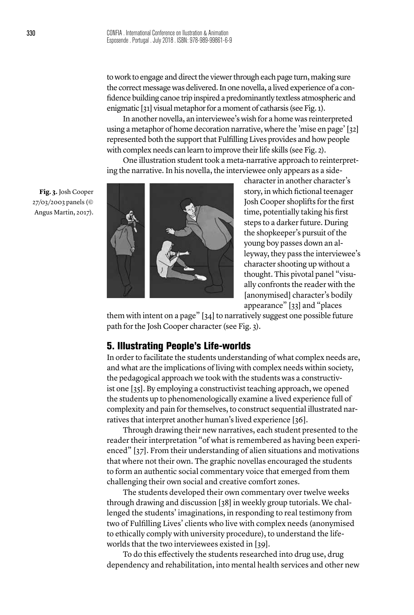to work to engage and direct the viewer through each page turn, making sure the correct message was delivered. In one novella, a lived experience of a confidence building canoe trip inspired a predominantly textless atmospheric and enigmatic [31] visual metaphor for a moment of catharsis (see Fig. 1).

In another novella, an interviewee's wish for a home was reinterpreted using a metaphor of home decoration narrative, where the 'mise en page' [32] represented both the support that Fulfilling Lives provides and how people with complex needs can learn to improve their life skills (see Fig. 2).

One illustration student took a meta-narrative approach to reinterpreting the narrative. In his novella, the interviewee only appears as a side-

**Fig. 3.** Josh Cooper 27/03/2003 panels (© Angus Martin, 2017).



character in another character's story, in which fictional teenager Josh Cooper shoplifts for the first time, potentially taking his first steps to a darker future. During the shopkeeper's pursuit of the young boy passes down an alleyway, they pass the interviewee's character shooting up without a thought. This pivotal panel "visually confronts the reader with the [anonymised] character's bodily appearance" [33] and "places

them with intent on a page" [34] to narratively suggest one possible future path for the Josh Cooper character (see Fig. 3).

#### 5. Illustrating People's Life-worlds

In order to facilitate the students understanding of what complex needs are, and what are the implications of living with complex needs within society, the pedagogical approach we took with the students was a constructivist one [35]. By employing a constructivist teaching approach, we opened the students up to phenomenologically examine a lived experience full of complexity and pain for themselves, to construct sequential illustrated narratives that interpret another human's lived experience [36].

Through drawing their new narratives, each student presented to the reader their interpretation "of what is remembered as having been experienced" [37]. From their understanding of alien situations and motivations that where not their own. The graphic novellas encouraged the students to form an authentic social commentary voice that emerged from them challenging their own social and creative comfort zones.

The students developed their own commentary over twelve weeks through drawing and discussion [38] in weekly group tutorials. We challenged the students' imaginations, in responding to real testimony from two of Fulfilling Lives' clients who live with complex needs (anonymised to ethically comply with university procedure), to understand the lifeworlds that the two interviewees existed in [39].

To do this effectively the students researched into drug use, drug dependency and rehabilitation, into mental health services and other new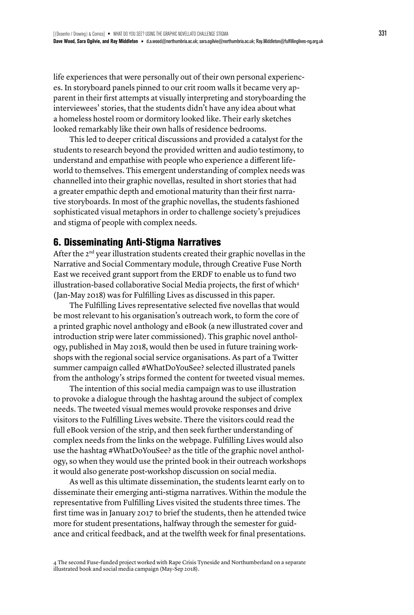life experiences that were personally out of their own personal experiences. In storyboard panels pinned to our crit room walls it became very apparent in their first attempts at visually interpreting and storyboarding the interviewees' stories, that the students didn't have any idea about what a homeless hostel room or dormitory looked like. Their early sketches looked remarkably like their own halls of residence bedrooms.

This led to deeper critical discussions and provided a catalyst for the students to research beyond the provided written and audio testimony, to understand and empathise with people who experience a different lifeworld to themselves. This emergent understanding of complex needs was channelled into their graphic novellas, resulted in short stories that had a greater empathic depth and emotional maturity than their first narrative storyboards. In most of the graphic novellas, the students fashioned sophisticated visual metaphors in order to challenge society's prejudices and stigma of people with complex needs.

#### 6. Disseminating Anti-Stigma Narratives

After the 2<sup>nd</sup> year illustration students created their graphic novellas in the Narrative and Social Commentary module, through Creative Fuse North East we received grant support from the ERDF to enable us to fund two illustration-based collaborative Social Media projects, the first of which<sup>4</sup> (Jan-May 2018) was for Fulfilling Lives as discussed in this paper.

The Fulfilling Lives representative selected five novellas that would be most relevant to his organisation's outreach work, to form the core of a printed graphic novel anthology and eBook (a new illustrated cover and introduction strip were later commissioned). This graphic novel anthology, published in May 2018, would then be used in future training workshops with the regional social service organisations. As part of a Twitter summer campaign called #WhatDoYouSee? selected illustrated panels from the anthology's strips formed the content for tweeted visual memes.

The intention of this social media campaign was to use illustration to provoke a dialogue through the hashtag around the subject of complex needs. The tweeted visual memes would provoke responses and drive visitors to the Fulfilling Lives website. There the visitors could read the full eBook version of the strip, and then seek further understanding of complex needs from the links on the webpage. Fulfilling Lives would also use the hashtag #WhatDoYouSee? as the title of the graphic novel anthology, so when they would use the printed book in their outreach workshops it would also generate post-workshop discussion on social media.

As well as this ultimate dissemination, the students learnt early on to disseminate their emerging anti-stigma narratives. Within the module the representative from Fulfilling Lives visited the students three times. The first time was in January 2017 to brief the students, then he attended twice more for student presentations, halfway through the semester for guidance and critical feedback, and at the twelfth week for final presentations.

<sup>4</sup> The second Fuse-funded project worked with Rape Crisis Tyneside and Northumberland on a separate illustrated book and social media campaign (May-Sep 2018).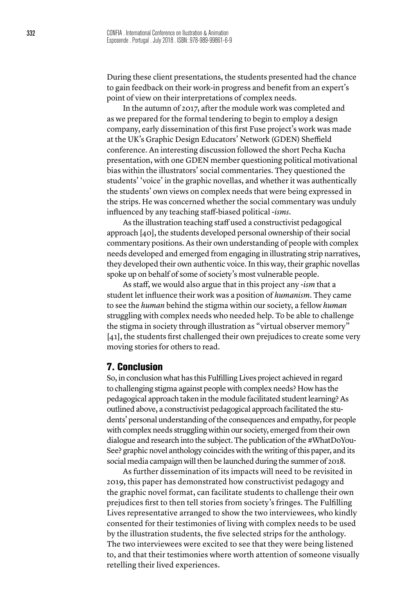During these client presentations, the students presented had the chance to gain feedback on their work-in progress and benefit from an expert's point of view on their interpretations of complex needs.

In the autumn of 2017, after the module work was completed and as we prepared for the formal tendering to begin to employ a design company, early dissemination of this first Fuse project's work was made at the UK's Graphic Design Educators' Network (GDEN) Sheffield conference. An interesting discussion followed the short Pecha Kucha presentation, with one GDEN member questioning political motivational bias within the illustrators' social commentaries. They questioned the students' 'voice' in the graphic novellas, and whether it was authentically the students' own views on complex needs that were being expressed in the strips. He was concerned whether the social commentary was unduly influenced by any teaching staff-biased political -*isms*.

As the illustration teaching staff used a constructivist pedagogical approach [40], the students developed personal ownership of their social commentary positions. As their own understanding of people with complex needs developed and emerged from engaging in illustrating strip narratives, they developed their own authentic voice. In this way, their graphic novellas spoke up on behalf of some of society's most vulnerable people.

As staff, we would also argue that in this project any -*ism* that a student let influence their work was a position of *humanism*. They came to see the *human* behind the stigma within our society, a fellow *human* struggling with complex needs who needed help. To be able to challenge the stigma in society through illustration as "virtual observer memory" [41], the students first challenged their own prejudices to create some very moving stories for others to read.

#### 7. Conclusion

So, in conclusion what has this Fulfilling Lives project achieved in regard to challenging stigma against people with complex needs? How has the pedagogical approach taken in the module facilitated student learning? As outlined above, a constructivist pedagogical approach facilitated the students' personal understanding of the consequences and empathy, for people with complex needs struggling within our society, emerged from their own dialogue and research into the subject. The publication of the #WhatDoYou-See? graphic novel anthology coincides with the writing of this paper, and its social media campaign will then be launched during the summer of 2018.

As further dissemination of its impacts will need to be revisited in 2019, this paper has demonstrated how constructivist pedagogy and the graphic novel format, can facilitate students to challenge their own prejudices first to then tell stories from society's fringes. The Fulfilling Lives representative arranged to show the two interviewees, who kindly consented for their testimonies of living with complex needs to be used by the illustration students, the five selected strips for the anthology. The two interviewees were excited to see that they were being listened to, and that their testimonies where worth attention of someone visually retelling their lived experiences.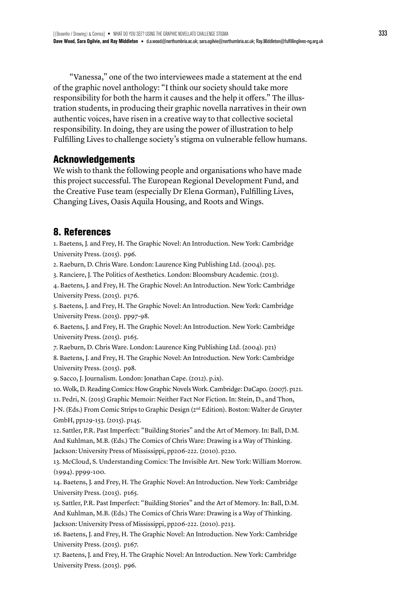"Vanessa," one of the two interviewees made a statement at the end of the graphic novel anthology: "I think our society should take more responsibility for both the harm it causes and the help it offers." The illustration students, in producing their graphic novella narratives in their own authentic voices, have risen in a creative way to that collective societal responsibility. In doing, they are using the power of illustration to help Fulfilling Lives to challenge society's stigma on vulnerable fellow humans.

## **Acknowledgements**

We wish to thank the following people and organisations who have made this project successful. The European Regional Development Fund, and the Creative Fuse team (especially Dr Elena Gorman), Fulfilling Lives, Changing Lives, Oasis Aquila Housing, and Roots and Wings.

## 8. References

1. Baetens, J. and Frey, H. The Graphic Novel: An Introduction. New York: Cambridge University Press. (2015). p96.

2. Raeburn, D. Chris Ware. London: Laurence King Publishing Ltd. (2004). p25.

3. Ranciere, J. The Politics of Aesthetics. London: Bloomsbury Academic. (2013).

4. Baetens, J. and Frey, H. The Graphic Novel: An Introduction. New York: Cambridge University Press. (2015). p176.

5. Baetens, J. and Frey, H. The Graphic Novel: An Introduction. New York: Cambridge University Press. (2015). pp97-98.

6. Baetens, J. and Frey, H. The Graphic Novel: An Introduction. New York: Cambridge University Press. (2015). p165.

7. Raeburn, D. Chris Ware. London: Laurence King Publishing Ltd. (2004). p21)

8. Baetens, J. and Frey, H. The Graphic Novel: An Introduction. New York: Cambridge University Press. (2015). p98.

9. Sacco, J. Journalism. London: Jonathan Cape. (2012). p.ix).

10. Wolk, D. Reading Comics: How Graphic Novels Work. Cambridge: DaCapo. (2007). p121. 11. Pedri, N. (2015) Graphic Memoir: Neither Fact Nor Fiction. In: Stein, D., and Thon,

J-N. (Eds.) From Comic Strips to Graphic Design (2nd Edition). Boston: Walter de Gruyter GmbH, pp129-153. (2015). p145.

12. Sattler, P.R. Past Imperfect: "Building Stories" and the Art of Memory. In: Ball, D.M. And Kuhlman, M.B. (Eds.) The Comics of Chris Ware: Drawing is a Way of Thinking. Jackson: University Press of Mississippi, pp206-222. (2010). p220.

13. McCloud, S. Understanding Comics: The Invisible Art. New York: William Morrow. (1994). pp99-100.

14. Baetens, J. and Frey, H. The Graphic Novel: An Introduction. New York: Cambridge University Press. (2015). p165.

15. Sattler, P.R. Past Imperfect: "Building Stories" and the Art of Memory. In: Ball, D.M. And Kuhlman, M.B. (Eds.) The Comics of Chris Ware: Drawing is a Way of Thinking. Jackson: University Press of Mississippi, pp206-222. (2010). p213.

16. Baetens, J. and Frey, H. The Graphic Novel: An Introduction. New York: Cambridge University Press. (2015). p167.

17. Baetens, J. and Frey, H. The Graphic Novel: An Introduction. New York: Cambridge University Press. (2015). p96.